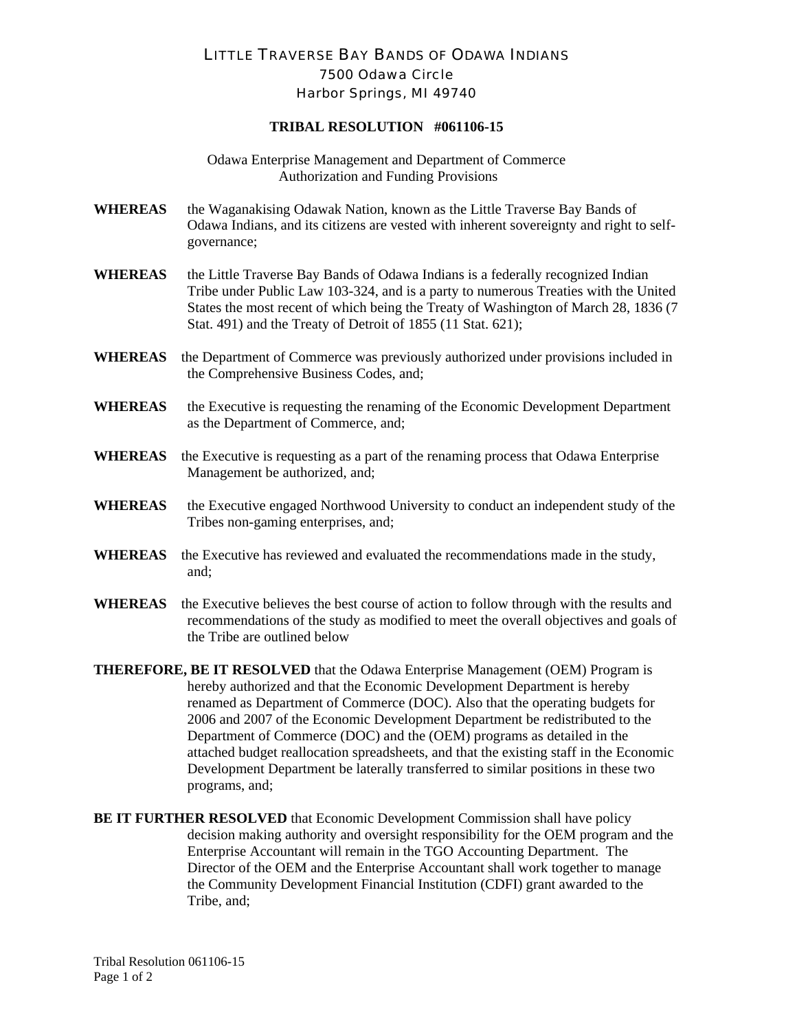## LITTLE TRAVERSE BAY BANDS OF ODAWA INDIANS 7500 Odawa Circle Harbor Springs, MI 49740

## **TRIBAL RESOLUTION #061106-15**

Odawa Enterprise Management and Department of Commerce Authorization and Funding Provisions

- **WHEREAS** the Waganakising Odawak Nation, known as the Little Traverse Bay Bands of Odawa Indians, and its citizens are vested with inherent sovereignty and right to selfgovernance;
- **WHEREAS** the Little Traverse Bay Bands of Odawa Indians is a federally recognized Indian Tribe under Public Law 103-324, and is a party to numerous Treaties with the United States the most recent of which being the Treaty of Washington of March 28, 1836 (7 Stat. 491) and the Treaty of Detroit of 1855 (11 Stat. 621);
- **WHEREAS** the Department of Commerce was previously authorized under provisions included in the Comprehensive Business Codes, and;
- **WHEREAS** the Executive is requesting the renaming of the Economic Development Department as the Department of Commerce, and;
- **WHEREAS** the Executive is requesting as a part of the renaming process that Odawa Enterprise Management be authorized, and;
- **WHEREAS** the Executive engaged Northwood University to conduct an independent study of the Tribes non-gaming enterprises, and;
- **WHEREAS** the Executive has reviewed and evaluated the recommendations made in the study, and;
- **WHEREAS** the Executive believes the best course of action to follow through with the results and recommendations of the study as modified to meet the overall objectives and goals of the Tribe are outlined below
- **THEREFORE, BE IT RESOLVED** that the Odawa Enterprise Management (OEM) Program is hereby authorized and that the Economic Development Department is hereby renamed as Department of Commerce (DOC). Also that the operating budgets for 2006 and 2007 of the Economic Development Department be redistributed to the Department of Commerce (DOC) and the (OEM) programs as detailed in the attached budget reallocation spreadsheets, and that the existing staff in the Economic Development Department be laterally transferred to similar positions in these two programs, and;
- **BE IT FURTHER RESOLVED** that Economic Development Commission shall have policy decision making authority and oversight responsibility for the OEM program and the Enterprise Accountant will remain in the TGO Accounting Department. The Director of the OEM and the Enterprise Accountant shall work together to manage the Community Development Financial Institution (CDFI) grant awarded to the Tribe, and;